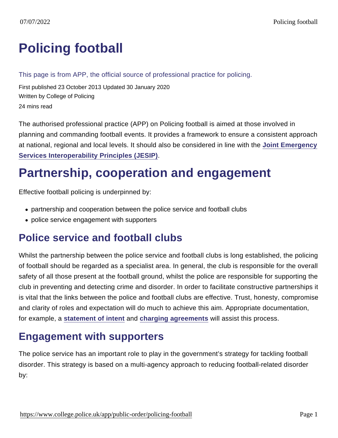# [Policing football](https://www.college.police.uk/app/public-order/policing-football)

#### This page is from APP, the official source of professional practice for policing.

First published 23 October 2013 Updated 30 January 2020 Written by College of Policing 24 mins read

The authorised professional practice (APP) on Policing football is aimed at those involved in planning and commanding football events. It provides a framework to ensure a consistent approach at national, regional and local levels. It should also be considered in line with the [Joint Emergency](https://jesip.org.uk/home) [Services Interoperability Principles \(JESIP\)](https://jesip.org.uk/home) .

## Partnership, cooperation and engagement

Effective football policing is underpinned by:

- partnership and cooperation between the police service and football clubs
- police service engagement with supporters

### Police service and football clubs

Whilst the partnership between the police service and football clubs is long established, the policing of football should be regarded as a specialist area. In general, the club is responsible for the overall safety of all those present at the football ground, whilst the police are responsible for supporting the club in preventing and detecting crime and disorder. In order to facilitate constructive partnerships it is vital that the links between the police and football clubs are effective. Trust, honesty, compromise and clarity of roles and expectation will do much to achieve this aim. Appropriate documentation, for example, a [statement of intent](https://www.app.college.police.uk/app-content/public-order/policing-football/#statement-of-intent) and [charging agreements](https://www.app.college.police.uk/app-content/public-order/policing-football/#charging-arrangements-for-special-police-services-at-football-matches) will assist this process.

### Engagement with supporters

The police service has an important role to play in the government's strategy for tackling football disorder. This strategy is based on a multi-agency approach to reducing football-related disorder by: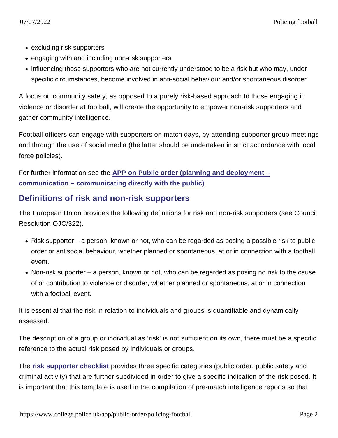- excluding risk supporters
- engaging with and including non-risk supporters
- influencing those supporters who are not currently understood to be a risk but who may, under specific circumstances, become involved in anti-social behaviour and/or spontaneous disorder

A focus on community safety, as opposed to a purely risk-based approach to those engaging in violence or disorder at football, will create the opportunity to empower non-risk supporters and gather community intelligence.

Football officers can engage with supporters on match days, by attending supporter group meetings and through the use of social media (the latter should be undertaken in strict accordance with local force policies).

For further information see the [APP on Public order \(planning and deployment –](https://www.app.college.police.uk/app-content/public-order/planning-and-deployment/communication/#communicating-directly-with-the-public) [communication – communicating directly with the public\)](https://www.app.college.police.uk/app-content/public-order/planning-and-deployment/communication/#communicating-directly-with-the-public) .

#### Definitions of risk and non-risk supporters

The European Union provides the following definitions for risk and non-risk supporters (see Council Resolution OJC/322).

- $\bullet$  Risk supporter a person, known or not, who can be regarded as posing a possible risk to public order or antisocial behaviour, whether planned or spontaneous, at or in connection with a football event.
- Non-risk supporter a person, known or not, who can be regarded as posing no risk to the cause of or contribution to violence or disorder, whether planned or spontaneous, at or in connection with a football event.

It is essential that the risk in relation to individuals and groups is quantifiable and dynamically assessed.

The description of a group or individual as 'risk' is not sufficient on its own, there must be a specific reference to the actual risk posed by individuals or groups.

The [risk supporter checklist](http://library.college.police.uk/docs/APPref/Risk-Supporter-Checklist.pdf) provides three specific categories (public order, public safety and criminal activity) that are further subdivided in order to give a specific indication of the risk posed. It is important that this template is used in the compilation of pre-match intelligence reports so that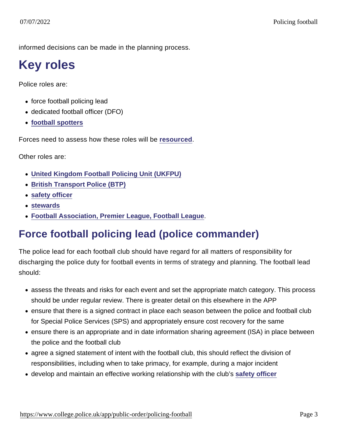informed decisions can be made in the planning process.

# Key roles

Police roles are:

- force football policing lead
- dedicated football officer (DFO)
- [football spotters](https://www.app.college.police.uk/app-content/public-order/policing-football/#football-spotter)

Forces need to assess how these roles will be [resourced](https://www.app.college.police.uk/app-content/public-order/policing-football/#force-football-resource-considerations) .

Other roles are:

- [United Kingdom Football Policing Unit \(UKFPU\)](https://www.app.college.police.uk/app-content/public-order/policing-football/#united-kingdom-football-policing-unit)
- [British Transport Police \(BTP\)](https://www.app.college.police.uk/app-content/public-order/policing-football/#british-transport-police)
- [safety officer](https://www.app.college.police.uk/app-content/public-order/policing-football/#safety-officer)
- [stewards](https://www.app.college.police.uk/app-content/public-order/policing-football/#stewards)
- [Football Association, Premier League, Football League](https://www.app.college.police.uk/app-content/public-order/policing-football/#football-association-premier-league-and-football-league) .

## Force football policing lead (police commander)

The police lead for each football club should have regard for all matters of responsibility for discharging the police duty for football events in terms of strategy and planning. The football lead should:

- assess the threats and risks for each event and set the appropriate match category. This process should be under regular review. There is greater detail on this elsewhere in the APP
- ensure that there is a signed contract in place each season between the police and football club for Special Police Services (SPS) and appropriately ensure cost recovery for the same
- ensure there is an appropriate and in date information sharing agreement (ISA) in place between the police and the football club
- agree a signed statement of intent with the football club, this should reflect the division of responsibilities, including when to take primacy, for example, during a major incident
- develop and maintain an effective working relationship with the club's [safety officer](https://www.app.college.police.uk/app-content/public-order/policing-football/#safety-officer)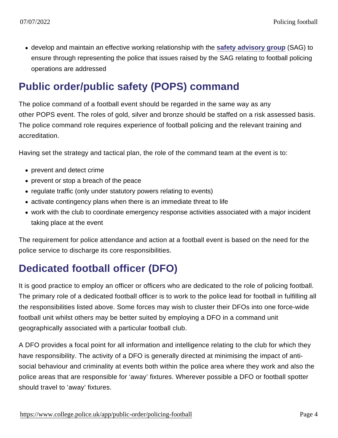develop and maintain an effective working relationship with the [safety advisory group](https://www.app.college.police.uk/app-content/public-order/planning-and-deployment/#safety-advisory-group) (SAG) to ensure through representing the police that issues raised by the SAG relating to football policing operations are addressed

## Public order/public safety (POPS) command

The police command of a football event should be regarded in the same way as any other POPS event. The roles of gold, silver and bronze should be staffed on a risk assessed basis. The police command role requires experience of football policing and the relevant training and accreditation.

Having set the strategy and tactical plan, the role of the command team at the event is to:

- prevent and detect crime
- prevent or stop a breach of the peace
- regulate traffic (only under statutory powers relating to events)
- activate contingency plans when there is an immediate threat to life
- work with the club to coordinate emergency response activities associated with a major incident taking place at the event

The requirement for police attendance and action at a football event is based on the need for the police service to discharge its core responsibilities.

## Dedicated football officer (DFO)

It is good practice to employ an officer or officers who are dedicated to the role of policing football. The primary role of a dedicated football officer is to work to the police lead for football in fulfilling all the responsibilities listed above. Some forces may wish to cluster their DFOs into one force-wide football unit whilst others may be better suited by employing a DFO in a command unit geographically associated with a particular football club.

A DFO provides a focal point for all information and intelligence relating to the club for which they have responsibility. The activity of a DFO is generally directed at minimising the impact of antisocial behaviour and criminality at events both within the police area where they work and also the police areas that are responsible for 'away' fixtures. Wherever possible a DFO or football spotter should travel to 'away' fixtures.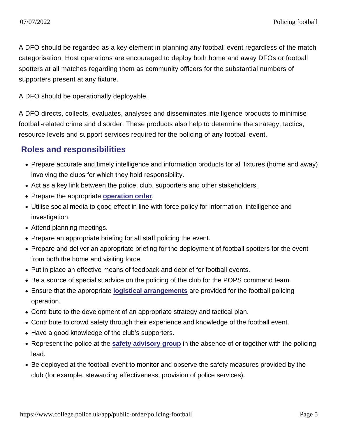A DFO should be regarded as a key element in planning any football event regardless of the match categorisation. Host operations are encouraged to deploy both home and away DFOs or football spotters at all matches regarding them as community officers for the substantial numbers of supporters present at any fixture.

A DFO should be operationally deployable.

A DFO directs, collects, evaluates, analyses and disseminates intelligence products to minimise football-related crime and disorder. These products also help to determine the strategy, tactics, resource levels and support services required for the policing of any football event.

#### Roles and responsibilities

- Prepare accurate and timely intelligence and information products for all fixtures (home and away) involving the clubs for which they hold responsibility.
- Act as a key link between the police, club, supporters and other stakeholders.
- Prepare the appropriate [operation order](https://www.app.college.police.uk/app-content/operations/briefing-and-debriefing/#operation-order).
- Utilise social media to good effect in line with force policy for information, intelligence and investigation.
- Attend planning meetings.
- Prepare an appropriate briefing for all staff policing the event.
- Prepare and deliver an appropriate briefing for the deployment of football spotters for the event from both the home and visiting force.
- Put in place an effective means of feedback and debrief for football events.
- Be a source of specialist advice on the policing of the club for the POPS command team.
- Ensure that the appropriate [logistical arrangements](https://www.app.college.police.uk/app-content/public-order/policing-football/#force-football-resource-considerations) are provided for the football policing operation.
- Contribute to the development of an appropriate strategy and tactical plan.
- Contribute to crowd safety through their experience and knowledge of the football event.
- Have a good knowledge of the club's supporters.
- Represent the police at the [safety advisory group](https://www.app.college.police.uk/app-content/public-order/planning-and-deployment/#safety-advisory-group) in the absence of or together with the policing lead.
- Be deployed at the football event to monitor and observe the safety measures provided by the club (for example, stewarding effectiveness, provision of police services).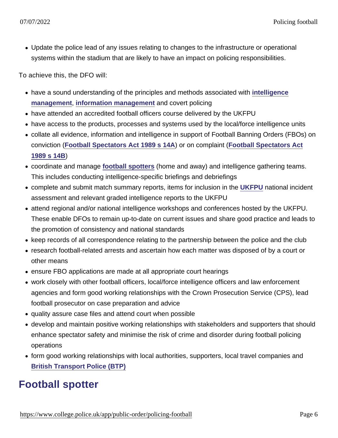Update the police lead of any issues relating to changes to the infrastructure or operational systems within the stadium that are likely to have an impact on policing responsibilities.

To achieve this, the DFO will:

- have a sound understanding of the principles and methods associated with [intelligence](https://www.app.college.police.uk/app-content/intelligence-management/?s=) [management](https://www.app.college.police.uk/app-content/intelligence-management/?s=) , [information management](https://www.app.college.police.uk/app-content/information-management/?s=) and covert policing
- have attended an accredited football officers course delivered by the UKFPU
- have access to the products, processes and systems used by the local/force intelligence units
- collate all evidence, information and intelligence in support of Football Banning Orders (FBOs) on conviction [\(Football Spectators Act 1989 s 14A](http://www.legislation.gov.uk/ukpga/1989/37/section/14A) ) or on complaint ([Football Spectators Act](http://www.legislation.gov.uk/ukpga/1989/37/section/14B) [1989 s 14B\)](http://www.legislation.gov.uk/ukpga/1989/37/section/14B)
- coordinate and manage [football spotters](https://www.app.college.police.uk/app-content/public-order/policing-football/#football-spotter) (home and away) and intelligence gathering teams. This includes conducting intelligence-specific briefings and debriefings
- complete and submit match summary reports, items for inclusion in the [UKFPU](https://www.app.college.police.uk/app-content/public-order/policing-football/#united-kingdom-football-policing-unit) national incident assessment and relevant graded intelligence reports to the UKFPU
- attend regional and/or national intelligence workshops and conferences hosted by the UKFPU. These enable DFOs to remain up-to-date on current issues and share good practice and leads to the promotion of consistency and national standards
- keep records of all correspondence relating to the partnership between the police and the club
- research football-related arrests and ascertain how each matter was disposed of by a court or other means
- ensure FBO applications are made at all appropriate court hearings
- work closely with other football officers, local/force intelligence officers and law enforcement agencies and form good working relationships with the Crown Prosecution Service (CPS), lead football prosecutor on case preparation and advice
- quality assure case files and attend court when possible
- develop and maintain positive working relationships with stakeholders and supporters that should enhance spectator safety and minimise the risk of crime and disorder during football policing operations
- form good working relationships with local authorities, supporters, local travel companies and [British Transport Police \(BTP\)](https://www.app.college.police.uk/app-content/public-order/policing-football/#british-transport-police)

### Football spotter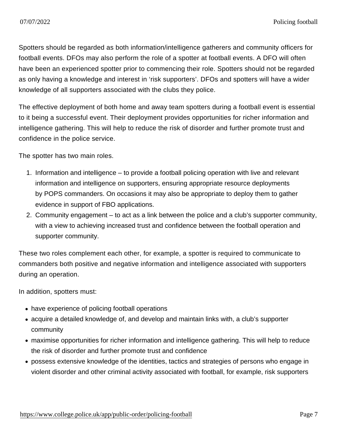Spotters should be regarded as both information/intelligence gatherers and community officers for football events. DFOs may also perform the role of a spotter at football events. A DFO will often have been an experienced spotter prior to commencing their role. Spotters should not be regarded as only having a knowledge and interest in 'risk supporters'. DFOs and spotters will have a wider knowledge of all supporters associated with the clubs they police.

The effective deployment of both home and away team spotters during a football event is essential to it being a successful event. Their deployment provides opportunities for richer information and intelligence gathering. This will help to reduce the risk of disorder and further promote trust and confidence in the police service.

The spotter has two main roles.

- 1. Information and intelligence to provide a football policing operation with live and relevant information and intelligence on supporters, ensuring appropriate resource deployments by POPS commanders. On occasions it may also be appropriate to deploy them to gather evidence in support of FBO applications.
- 2. Community engagement to act as a link between the police and a club's supporter community, with a view to achieving increased trust and confidence between the football operation and supporter community.

These two roles complement each other, for example, a spotter is required to communicate to commanders both positive and negative information and intelligence associated with supporters during an operation.

In addition, spotters must:

- have experience of policing football operations
- acquire a detailed knowledge of, and develop and maintain links with, a club's supporter community
- maximise opportunities for richer information and intelligence gathering. This will help to reduce the risk of disorder and further promote trust and confidence
- possess extensive knowledge of the identities, tactics and strategies of persons who engage in violent disorder and other criminal activity associated with football, for example, risk supporters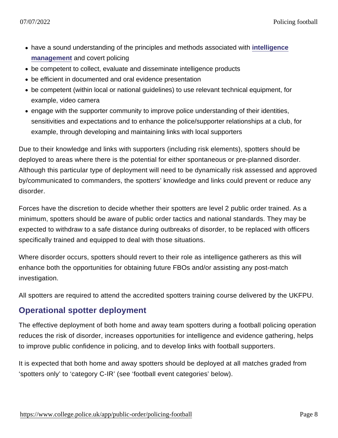- have a sound understanding of the principles and methods associated with [intelligence](https://www.app.college.police.uk/app-content/intelligence-management/?s=) [management](https://www.app.college.police.uk/app-content/intelligence-management/?s=) and covert policing
- be competent to collect, evaluate and disseminate intelligence products
- be efficient in documented and oral evidence presentation
- be competent (within local or national guidelines) to use relevant technical equipment, for example, video camera
- engage with the supporter community to improve police understanding of their identities, sensitivities and expectations and to enhance the police/supporter relationships at a club, for example, through developing and maintaining links with local supporters

Due to their knowledge and links with supporters (including risk elements), spotters should be deployed to areas where there is the potential for either spontaneous or pre-planned disorder. Although this particular type of deployment will need to be dynamically risk assessed and approved by/communicated to commanders, the spotters' knowledge and links could prevent or reduce any disorder.

Forces have the discretion to decide whether their spotters are level 2 public order trained. As a minimum, spotters should be aware of public order tactics and national standards. They may be expected to withdraw to a safe distance during outbreaks of disorder, to be replaced with officers specifically trained and equipped to deal with those situations.

Where disorder occurs, spotters should revert to their role as intelligence gatherers as this will enhance both the opportunities for obtaining future FBOs and/or assisting any post-match investigation.

All spotters are required to attend the accredited spotters training course delivered by the UKFPU.

#### Operational spotter deployment

The effective deployment of both home and away team spotters during a football policing operation reduces the risk of disorder, increases opportunities for intelligence and evidence gathering, helps to improve public confidence in policing, and to develop links with football supporters.

It is expected that both home and away spotters should be deployed at all matches graded from 'spotters only' to 'category C-IR' (see 'football event categories' below).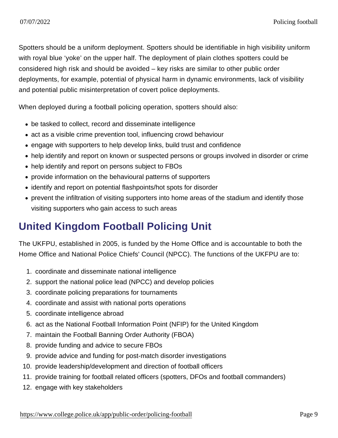Spotters should be a uniform deployment. Spotters should be identifiable in high visibility uniform with royal blue 'yoke' on the upper half. The deployment of plain clothes spotters could be considered high risk and should be avoided – key risks are similar to other public order deployments, for example, potential of physical harm in dynamic environments, lack of visibility and potential public misinterpretation of covert police deployments.

When deployed during a football policing operation, spotters should also:

- be tasked to collect, record and disseminate intelligence
- act as a visible crime prevention tool, influencing crowd behaviour
- engage with supporters to help develop links, build trust and confidence
- help identify and report on known or suspected persons or groups involved in disorder or crime
- help identify and report on persons subject to FBOs
- provide information on the behavioural patterns of supporters
- identify and report on potential flashpoints/hot spots for disorder
- prevent the infiltration of visiting supporters into home areas of the stadium and identify those visiting supporters who gain access to such areas

### United Kingdom Football Policing Unit

The UKFPU, established in 2005, is funded by the Home Office and is accountable to both the Home Office and National Police Chiefs' Council (NPCC). The functions of the UKFPU are to:

- 1. coordinate and disseminate national intelligence
- 2. support the national police lead (NPCC) and develop policies
- 3. coordinate policing preparations for tournaments
- 4. coordinate and assist with national ports operations
- 5. coordinate intelligence abroad
- 6. act as the National Football Information Point (NFIP) for the United Kingdom
- 7. maintain the Football Banning Order Authority (FBOA)
- 8. provide funding and advice to secure FBOs
- 9. provide advice and funding for post-match disorder investigations
- 10. provide leadership/development and direction of football officers
- 11. provide training for football related officers (spotters, DFOs and football commanders)
- 12. engage with key stakeholders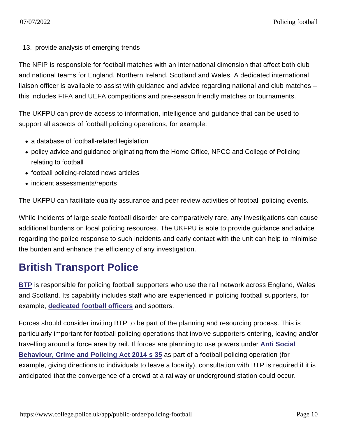13. provide analysis of emerging trends

The NFIP is responsible for football matches with an international dimension that affect both club and national teams for England, Northern Ireland, Scotland and Wales. A dedicated international liaison officer is available to assist with guidance and advice regarding national and club matches – this includes FIFA and UEFA competitions and pre-season friendly matches or tournaments.

The UKFPU can provide access to information, intelligence and guidance that can be used to support all aspects of football policing operations, for example:

- a database of football-related legislation
- policy advice and guidance originating from the Home Office, NPCC and College of Policing relating to football
- football policing-related news articles
- incident assessments/reports

The UKFPU can facilitate quality assurance and peer review activities of football policing events.

While incidents of large scale football disorder are comparatively rare, any investigations can cause additional burdens on local policing resources. The UKFPU is able to provide guidance and advice regarding the police response to such incidents and early contact with the unit can help to minimise the burden and enhance the efficiency of any investigation.

### British Transport Police

[BTP](http://www.btp.police.uk/) is responsible for policing football supporters who use the rail network across England, Wales and Scotland. Its capability includes staff who are experienced in policing football supporters, for example, [dedicated football officers](https://www.app.college.police.uk/app-content/public-order/policing-football/#dedicated-football-officer-dfo) and spotters.

Forces should consider inviting BTP to be part of the planning and resourcing process. This is particularly important for football policing operations that involve supporters entering, leaving and/or travelling around a force area by rail. If forces are planning to use powers under [Anti Social](http://www.legislation.gov.uk/ukpga/2014/12/section/35) [Behaviour, Crime and Policing Act 2014 s 35](http://www.legislation.gov.uk/ukpga/2014/12/section/35) as part of a football policing operation (for example, giving directions to individuals to leave a locality), consultation with BTP is required if it is anticipated that the convergence of a crowd at a railway or underground station could occur.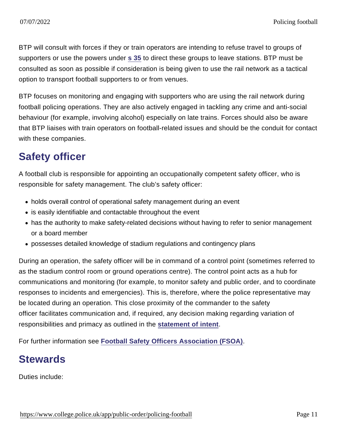BTP will consult with forces if they or train operators are intending to refuse travel to groups of supporters or use the powers under [s 35](http://www.legislation.gov.uk/ukpga/2014/12/section/35) to direct these groups to leave stations. BTP must be consulted as soon as possible if consideration is being given to use the rail network as a tactical option to transport football supporters to or from venues.

BTP focuses on monitoring and engaging with supporters who are using the rail network during football policing operations. They are also actively engaged in tackling any crime and anti-social behaviour (for example, involving alcohol) especially on late trains. Forces should also be aware that BTP liaises with train operators on football-related issues and should be the conduit for contact with these companies.

## Safety officer

A football club is responsible for appointing an occupationally competent safety officer, who is responsible for safety management. The club's safety officer:

- holds overall control of operational safety management during an event
- is easily identifiable and contactable throughout the event
- has the authority to make safety-related decisions without having to refer to senior management or a board member
- possesses detailed knowledge of stadium regulations and contingency plans

During an operation, the safety officer will be in command of a control point (sometimes referred to as the stadium control room or ground operations centre). The control point acts as a hub for communications and monitoring (for example, to monitor safety and public order, and to coordinate responses to incidents and emergencies). This is, therefore, where the police representative may be located during an operation. This close proximity of the commander to the safety officer facilitates communication and, if required, any decision making regarding variation of responsibilities and primacy as outlined in the [statement of intent](https://www.app.college.police.uk/app-content/public-order/policing-football/#statement-of-intent) .

For further information see [Football Safety Officers Association \(FSOA\)](http://fsoa.org.uk/) .

### **Stewards**

Duties include: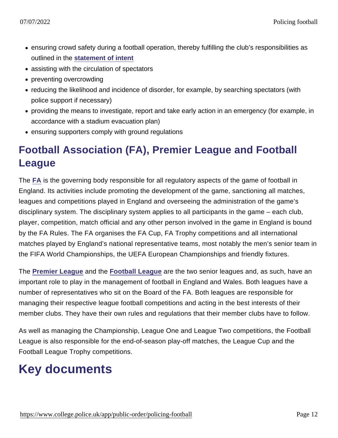- ensuring crowd safety during a football operation, thereby fulfilling the club's responsibilities as outlined in the [statement of intent](https://www.app.college.police.uk/app-content/public-order/policing-football/#statement-of-intent)
- assisting with the circulation of spectators
- preventing overcrowding
- reducing the likelihood and incidence of disorder, for example, by searching spectators (with police support if necessary)
- providing the means to investigate, report and take early action in an emergency (for example, in accordance with a stadium evacuation plan)
- ensuring supporters comply with ground regulations

## Football Association (FA), Premier League and Football League

The [FA](http://www.thefa.com/) is the governing body responsible for all regulatory aspects of the game of football in England. Its activities include promoting the development of the game, sanctioning all matches, leagues and competitions played in England and overseeing the administration of the game's disciplinary system. The disciplinary system applies to all participants in the game – each club, player, competition, match official and any other person involved in the game in England is bound by the FA Rules. The FA organises the FA Cup, FA Trophy competitions and all international matches played by England's national representative teams, most notably the men's senior team in the FIFA World Championships, the UEFA European Championships and friendly fixtures.

The [Premier League](http://www.premierleague.com/en-gb.html) and the [Football League](http://www.football-league.co.uk/) are the two senior leagues and, as such, have an important role to play in the management of football in England and Wales. Both leagues have a number of representatives who sit on the Board of the FA. Both leagues are responsible for managing their respective league football competitions and acting in the best interests of their member clubs. They have their own rules and regulations that their member clubs have to follow.

As well as managing the Championship, League One and League Two competitions, the Football League is also responsible for the end-of-season play-off matches, the League Cup and the Football League Trophy competitions.

# Key documents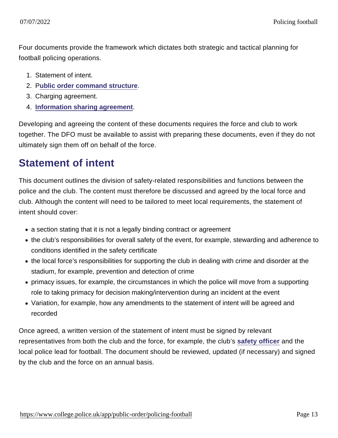Four documents provide the framework which dictates both strategic and tactical planning for football policing operations.

- 1. Statement of intent.
- 2. [Public order command structure](https://www.app.college.police.uk/app-content/public-order/command/) .
- 3. Charging agreement.
- 4. [Information sharing agreement](https://www.app.college.police.uk/app-content/information-management/management-of-police-information/sharing/#information-sharing-agreement) .

Developing and agreeing the content of these documents requires the force and club to work together. The DFO must be available to assist with preparing these documents, even if they do not ultimately sign them off on behalf of the force.

### Statement of intent

This document outlines the division of safety-related responsibilities and functions between the police and the club. The content must therefore be discussed and agreed by the local force and club. Although the content will need to be tailored to meet local requirements, the statement of intent should cover:

- a section stating that it is not a legally binding contract or agreement
- the club's responsibilities for overall safety of the event, for example, stewarding and adherence to conditions identified in the safety certificate
- the local force's responsibilities for supporting the club in dealing with crime and disorder at the stadium, for example, prevention and detection of crime
- primacy issues, for example, the circumstances in which the police will move from a supporting role to taking primacy for decision making/intervention during an incident at the event
- Variation, for example, how any amendments to the statement of intent will be agreed and recorded

Once agreed, a written version of the statement of intent must be signed by relevant representatives from both the club and the force, for example, the club's [safety officer](https://www.app.college.police.uk/app-content/public-order/policing-football/#safety-officer) and the local police lead for football. The document should be reviewed, updated (if necessary) and signed by the club and the force on an annual basis.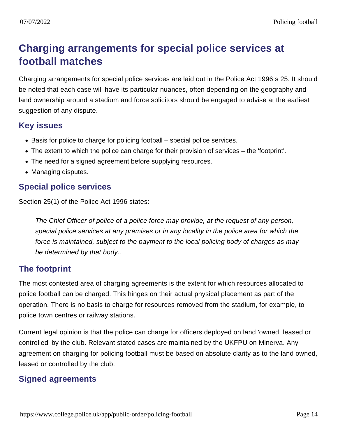## Charging arrangements for special police services at football matches

Charging arrangements for special police services are laid out in the Police Act 1996 s 25. It should be noted that each case will have its particular nuances, often depending on the geography and land ownership around a stadium and force solicitors should be engaged to advise at the earliest suggestion of any dispute.

#### Key issues

- Basis for police to charge for policing football special police services.
- The extent to which the police can charge for their provision of services the 'footprint'.
- The need for a signed agreement before supplying resources.
- Managing disputes.

#### Special police services

Section 25(1) of the Police Act 1996 states:

The Chief Officer of police of a police force may provide, at the request of any person, special police services at any premises or in any locality in the police area for which the force is maintained, subject to the payment to the local policing body of charges as may be determined by that body…

#### The footprint

The most contested area of charging agreements is the extent for which resources allocated to police football can be charged. This hinges on their actual physical placement as part of the operation. There is no basis to charge for resources removed from the stadium, for example, to police town centres or railway stations.

Current legal opinion is that the police can charge for officers deployed on land 'owned, leased or controlled' by the club. Relevant stated cases are maintained by the UKFPU on Minerva. Any agreement on charging for policing football must be based on absolute clarity as to the land owned, leased or controlled by the club.

#### Signed agreements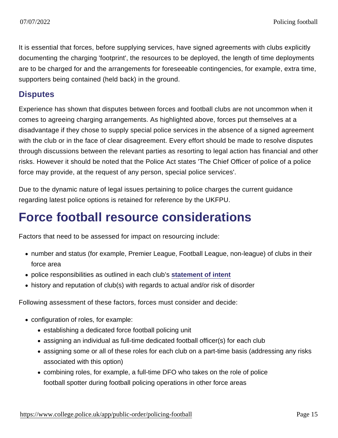It is essential that forces, before supplying services, have signed agreements with clubs explicitly documenting the charging 'footprint', the resources to be deployed, the length of time deployments are to be charged for and the arrangements for foreseeable contingencies, for example, extra time, supporters being contained (held back) in the ground.

#### **Disputes**

Experience has shown that disputes between forces and football clubs are not uncommon when it comes to agreeing charging arrangements. As highlighted above, forces put themselves at a disadvantage if they chose to supply special police services in the absence of a signed agreement with the club or in the face of clear disagreement. Every effort should be made to resolve disputes through discussions between the relevant parties as resorting to legal action has financial and other risks. However it should be noted that the Police Act states 'The Chief Officer of police of a police force may provide, at the request of any person, special police services'.

Due to the dynamic nature of legal issues pertaining to police charges the current guidance regarding latest police options is retained for reference by the UKFPU.

# Force football resource considerations

Factors that need to be assessed for impact on resourcing include:

- number and status (for example, Premier League, Football League, non-league) of clubs in their force area
- police responsibilities as outlined in each club's [statement of intent](https://www.app.college.police.uk/app-content/public-order/policing-football/#statement-of-intent)
- history and reputation of club(s) with regards to actual and/or risk of disorder

Following assessment of these factors, forces must consider and decide:

- configuration of roles, for example:
	- establishing a dedicated force football policing unit
	- assigning an individual as full-time dedicated football officer(s) for each club
	- assigning some or all of these roles for each club on a part-time basis (addressing any risks associated with this option)
	- combining roles, for example, a full-time DFO who takes on the role of police football spotter during football policing operations in other force areas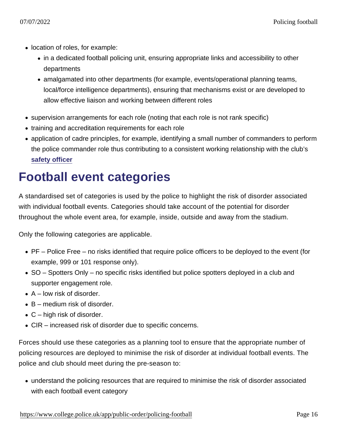- location of roles, for example:
	- in a dedicated football policing unit, ensuring appropriate links and accessibility to other departments
	- amalgamated into other departments (for example, events/operational planning teams, local/force intelligence departments), ensuring that mechanisms exist or are developed to allow effective liaison and working between different roles
- supervision arrangements for each role (noting that each role is not rank specific)
- training and accreditation requirements for each role
- application of cadre principles, for example, identifying a small number of commanders to perform the police commander role thus contributing to a consistent working relationship with the club's [safety officer](https://www.app.college.police.uk/app-content/public-order/policing-football/#safety-officer)

## Football event categories

A standardised set of categories is used by the police to highlight the risk of disorder associated with individual football events. Categories should take account of the potential for disorder throughout the whole event area, for example, inside, outside and away from the stadium.

Only the following categories are applicable.

- PF Police Free no risks identified that require police officers to be deployed to the event (for example, 999 or 101 response only).
- SO Spotters Only no specific risks identified but police spotters deployed in a club and supporter engagement role.
- $\bullet$  A low risk of disorder.
- $\bullet$  B medium risk of disorder.
- $\bullet$  C high risk of disorder.
- CIR increased risk of disorder due to specific concerns.

Forces should use these categories as a planning tool to ensure that the appropriate number of policing resources are deployed to minimise the risk of disorder at individual football events. The police and club should meet during the pre-season to:

understand the policing resources that are required to minimise the risk of disorder associated with each football event category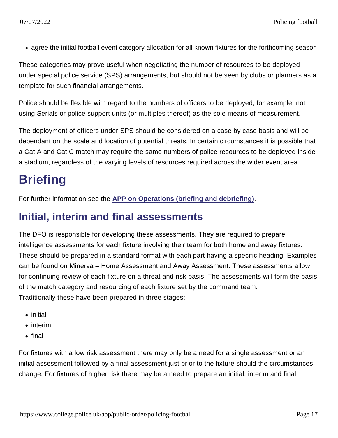agree the initial football event category allocation for all known fixtures for the forthcoming season

These categories may prove useful when negotiating the number of resources to be deployed under special police service (SPS) arrangements, but should not be seen by clubs or planners as a template for such financial arrangements.

Police should be flexible with regard to the numbers of officers to be deployed, for example, not using Serials or police support units (or multiples thereof) as the sole means of measurement.

The deployment of officers under SPS should be considered on a case by case basis and will be dependant on the scale and location of potential threats. In certain circumstances it is possible that a Cat A and Cat C match may require the same numbers of police resources to be deployed inside a stadium, regardless of the varying levels of resources required across the wider event area.

# **Briefing**

For further information see the [APP on Operations \(briefing and debriefing\)](https://www.app.college.police.uk/app-content/operations/briefing-and-debriefing/) .

### Initial, interim and final assessments

The DFO is responsible for developing these assessments. They are required to prepare intelligence assessments for each fixture involving their team for both home and away fixtures. These should be prepared in a standard format with each part having a specific heading. Examples can be found on Minerva – Home Assessment and Away Assessment. These assessments allow for continuing review of each fixture on a threat and risk basis. The assessments will form the basis of the match category and resourcing of each fixture set by the command team. Traditionally these have been prepared in three stages:

- initial
- interim
- $\bullet$  final

For fixtures with a low risk assessment there may only be a need for a single assessment or an initial assessment followed by a final assessment just prior to the fixture should the circumstances change. For fixtures of higher risk there may be a need to prepare an initial, interim and final.